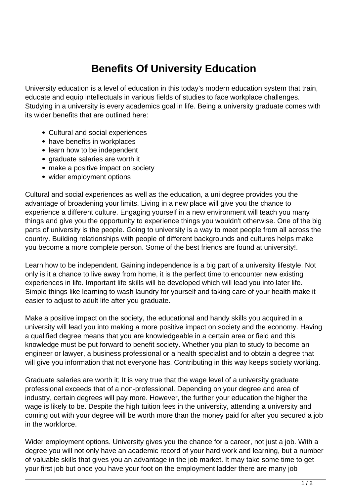## **Benefits Of University Education**

University education is a level of education in this today's modern education system that train, educate and equip intellectuals in various fields of studies to face workplace challenges. Studying in a university is every academics goal in life. Being a university graduate comes with its wider benefits that are outlined here:

- Cultural and social experiences
- have benefits in workplaces
- learn how to be independent
- graduate salaries are worth it
- make a positive impact on society
- wider employment options

Cultural and social experiences as well as the education, a uni degree provides you the advantage of broadening your limits. Living in a new place will give you the chance to experience a different culture. Engaging yourself in a new environment will teach you many things and give you the opportunity to experience things you wouldn't otherwise. One of the big parts of university is the people. Going to university is a way to meet people from all across the country. Building relationships with people of different backgrounds and cultures helps make you become a more complete person. Some of the best friends are found at university!.

Learn how to be independent. Gaining independence is a big part of a university lifestyle. Not only is it a chance to live away from home, it is the perfect time to encounter new existing experiences in life. Important life skills will be developed which will lead you into later life. Simple things like learning to wash laundry for yourself and taking care of your health make it easier to adjust to adult life after you graduate.

Make a positive impact on the society, the educational and handy skills you acquired in a university will lead you into making a more positive impact on society and the economy. Having a qualified degree means that you are knowledgeable in a certain area or field and this knowledge must be put forward to benefit society. Whether you plan to study to become an engineer or lawyer, a business professional or a health specialist and to obtain a degree that will give you information that not everyone has. Contributing in this way keeps society working.

Graduate salaries are worth it; It is very true that the wage level of a university graduate professional exceeds that of a non-professional. Depending on your degree and area of industry, certain degrees will pay more. However, the further your education the higher the wage is likely to be. Despite the high tuition fees in the university, attending a university and coming out with your degree will be worth more than the money paid for after you secured a job in the workforce.

Wider employment options. University gives you the chance for a career, not just a job. With a degree you will not only have an academic record of your hard work and learning, but a number of valuable skills that gives you an advantage in the job market. It may take some time to get your first job but once you have your foot on the employment ladder there are many job